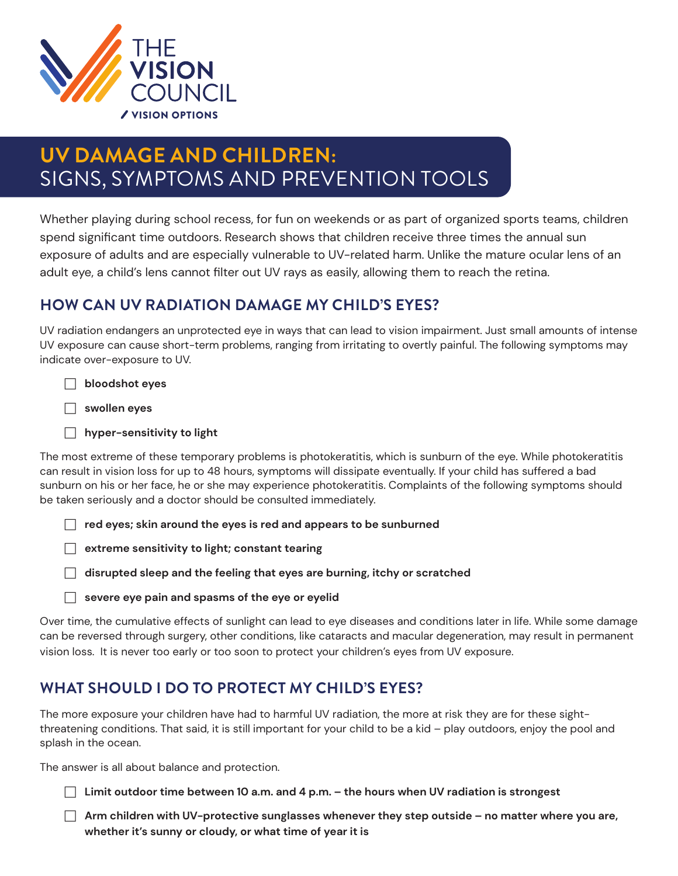

# **UV DAMAGE AND CHILDREN:**  SIGNS, SYMPTOMS AND PREVENTION TOOLS

Whether playing during school recess, for fun on weekends or as part of organized sports teams, children spend significant time outdoors. Research shows that children receive three times the annual sun exposure of adults and are especially vulnerable to UV-related harm. Unlike the mature ocular lens of an adult eye, a child's lens cannot filter out UV rays as easily, allowing them to reach the retina.

# **HOW CAN UV RADIATION DAMAGE MY CHILD'S EYES?**

UV radiation endangers an unprotected eye in ways that can lead to vision impairment. Just small amounts of intense UV exposure can cause short-term problems, ranging from irritating to overtly painful. The following symptoms may indicate over-exposure to UV.

F **bloodshot eyes**

F **swollen eyes**

**F** hyper-sensitivity to light

The most extreme of these temporary problems is photokeratitis, which is sunburn of the eye. While photokeratitis can result in vision loss for up to 48 hours, symptoms will dissipate eventually. If your child has suffered a bad sunburn on his or her face, he or she may experience photokeratitis. Complaints of the following symptoms should be taken seriously and a doctor should be consulted immediately.

F **red eyes; skin around the eyes is red and appears to be sunburned**

**F** extreme sensitivity to light; constant tearing

F **disrupted sleep and the feeling that eyes are burning, itchy or scratched**

 $\Box$  severe eye pain and spasms of the eye or eyelid

Over time, the cumulative effects of sunlight can lead to eye diseases and conditions later in life. While some damage can be reversed through surgery, other conditions, like cataracts and macular degeneration, may result in permanent vision loss. It is never too early or too soon to protect your children's eyes from UV exposure.

### **WHAT SHOULD I DO TO PROTECT MY CHILD'S EYES?**

The more exposure your children have had to harmful UV radiation, the more at risk they are for these sightthreatening conditions. That said, it is still important for your child to be a kid – play outdoors, enjoy the pool and splash in the ocean.

The answer is all about balance and protection.

**F** Limit outdoor time between 10 a.m. and 4 p.m. – the hours when UV radiation is strongest

F Arm children with UV-protective sunglasses whenever they step outside – no matter where you are, **whether it's sunny or cloudy, or what time of year it is**